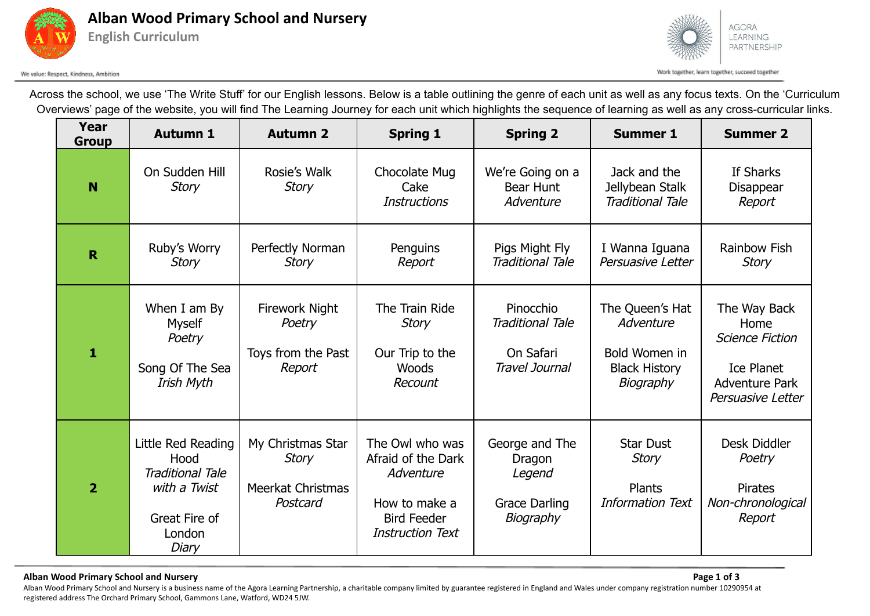



We value: Respect, Kindness, Ambition

Across the school, we use 'The Write Stuff' for our English lessons. Below is a table outlining the genre of each unit as well as any focus texts. On the 'Curriculum Overviews' page of the website, you will find The Learning Journey for each unit which highlights the sequence of learning as well as any cross-curricular links.

| Year<br><b>Group</b> | <b>Autumn 1</b>                                                                                           | <b>Autumn 2</b>                                                    | <b>Spring 1</b>                                                                                                      | <b>Spring 2</b>                                                         | <b>Summer 1</b>                                                                    | <b>Summer 2</b>                                                                                                   |
|----------------------|-----------------------------------------------------------------------------------------------------------|--------------------------------------------------------------------|----------------------------------------------------------------------------------------------------------------------|-------------------------------------------------------------------------|------------------------------------------------------------------------------------|-------------------------------------------------------------------------------------------------------------------|
| N                    | On Sudden Hill<br><b>Story</b>                                                                            | Rosie's Walk<br><b>Story</b>                                       | Chocolate Mug<br>Cake<br><b>Instructions</b>                                                                         | We're Going on a<br>Bear Hunt<br>Adventure                              | Jack and the<br>Jellybean Stalk<br><b>Traditional Tale</b>                         | If Sharks<br>Disappear<br>Report                                                                                  |
| $\mathbf R$          | Ruby's Worry<br><b>Story</b>                                                                              | Perfectly Norman<br><b>Story</b>                                   | Penguins<br>Report                                                                                                   | Pigs Might Fly<br><b>Traditional Tale</b>                               | I Wanna Iguana<br>Persuasive Letter                                                | <b>Rainbow Fish</b><br><b>Story</b>                                                                               |
| 1                    | When I am By<br>Myself<br>Poetry<br>Song Of The Sea<br>Irish Myth                                         | <b>Firework Night</b><br>Poetry<br>Toys from the Past<br>Report    | The Train Ride<br><b>Story</b><br>Our Trip to the<br>Woods<br>Recount                                                | Pinocchio<br><b>Traditional Tale</b><br>On Safari<br>Travel Journal     | The Queen's Hat<br>Adventure<br>Bold Women in<br><b>Black History</b><br>Biography | The Way Back<br>Home<br><b>Science Fiction</b><br><b>Ice Planet</b><br><b>Adventure Park</b><br>Persuasive Letter |
| $\overline{2}$       | Little Red Reading<br>Hood<br><b>Traditional Tale</b><br>with a Twist<br>Great Fire of<br>London<br>Diary | My Christmas Star<br><b>Story</b><br>Meerkat Christmas<br>Postcard | The Owl who was<br>Afraid of the Dark<br>Adventure<br>How to make a<br><b>Bird Feeder</b><br><b>Instruction Text</b> | George and The<br>Dragon<br>Legend<br><b>Grace Darling</b><br>Biography | <b>Star Dust</b><br>Story<br>Plants<br><b>Information Text</b>                     | Desk Diddler<br>Poetry<br><b>Pirates</b><br>Non-chronological<br>Report                                           |

## **Alban Wood Primary School and Nursery Page 1 of 3**

Alban Wood Primary School and Nursery is a business name of the Agora Learning Partnership, a charitable company limited by guarantee registered in England and Wales under company registration number 10290954 at registered address The Orchard Primary School, Gammons Lane, Watford, WD24 5JW.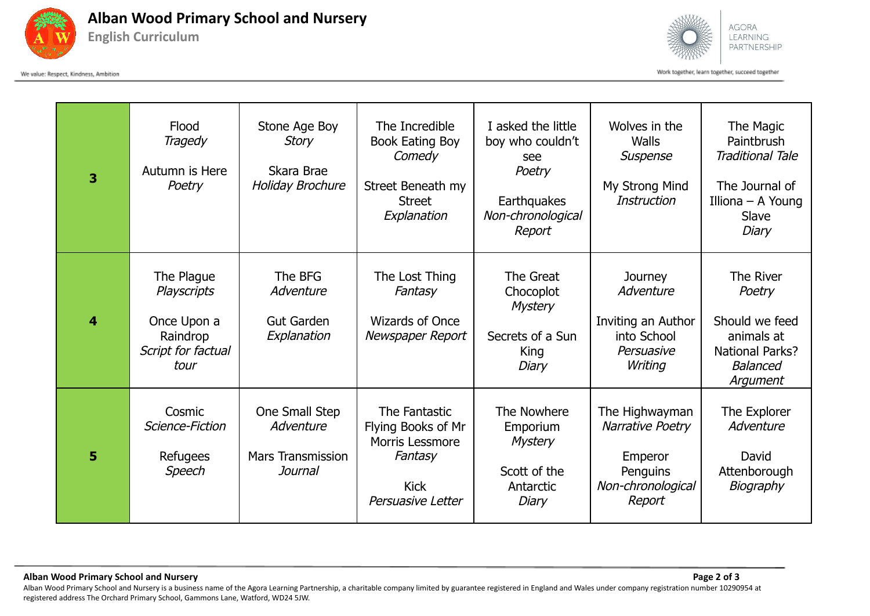

**Alban Wood Primary School and Nursery English Curriculum**

We value: Respect, Kindness, Ambition



Work together, learn together, succeed together

| 3 | Flood<br>Tragedy<br>Autumn is Here<br>Poetry                                              | Stone Age Boy<br><b>Story</b><br>Skara Brae<br><b>Holiday Brochure</b> | The Incredible<br><b>Book Eating Boy</b><br>Comedy<br>Street Beneath my<br><b>Street</b><br>Explanation      | I asked the little<br>boy who couldn't<br>see<br>Poetry<br>Earthquakes<br>Non-chronological<br>Report | Wolves in the<br>Walls<br>Suspense<br>My Strong Mind<br><b>Instruction</b>               | The Magic<br>Paintbrush<br><b>Traditional Tale</b><br>The Journal of<br>Illiona – A Young<br>Slave<br>Diary  |
|---|-------------------------------------------------------------------------------------------|------------------------------------------------------------------------|--------------------------------------------------------------------------------------------------------------|-------------------------------------------------------------------------------------------------------|------------------------------------------------------------------------------------------|--------------------------------------------------------------------------------------------------------------|
| 4 | The Plague<br><b>Playscripts</b><br>Once Upon a<br>Raindrop<br>Script for factual<br>tour | The BFG<br>Adventure<br><b>Gut Garden</b><br>Explanation               | The Lost Thing<br>Fantasy<br><b>Wizards of Once</b><br>Newspaper Report                                      | The Great<br>Chocoplot<br><b>Mystery</b><br>Secrets of a Sun<br>King<br>Diary                         | Journey<br>Adventure<br>Inviting an Author<br>into School<br>Persuasive<br>Writing       | The River<br>Poetry<br>Should we feed<br>animals at<br><b>National Parks?</b><br><b>Balanced</b><br>Argument |
| 5 | Cosmic<br>Science-Fiction<br>Refugees<br>Speech                                           | One Small Step<br>Adventure<br><b>Mars Transmission</b><br>Journal     | The Fantastic<br>Flying Books of Mr<br><b>Morris Lessmore</b><br>Fantasy<br><b>Kick</b><br>Persuasive Letter | The Nowhere<br>Emporium<br><b>Mystery</b><br>Scott of the<br>Antarctic<br>Diary                       | The Highwayman<br>Narrative Poetry<br>Emperor<br>Penguins<br>Non-chronological<br>Report | The Explorer<br>Adventure<br>David<br>Attenborough<br>Biography                                              |